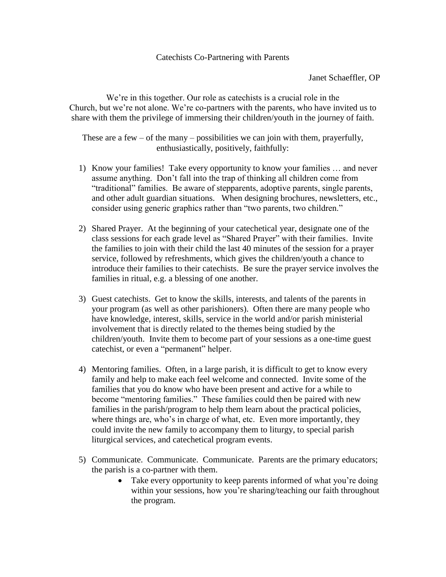## Catechists Co-Partnering with Parents

Janet Schaeffler, OP

We're in this together. Our role as catechists is a crucial role in the Church, but we're not alone. We're co-partners with the parents, who have invited us to share with them the privilege of immersing their children/youth in the journey of faith.

These are a few – of the many – possibilities we can join with them, prayerfully, enthusiastically, positively, faithfully:

- 1) Know your families! Take every opportunity to know your families … and never assume anything. Don't fall into the trap of thinking all children come from "traditional" families. Be aware of stepparents, adoptive parents, single parents, and other adult guardian situations. When designing brochures, newsletters, etc., consider using generic graphics rather than "two parents, two children."
- 2) Shared Prayer. At the beginning of your catechetical year, designate one of the class sessions for each grade level as "Shared Prayer" with their families. Invite the families to join with their child the last 40 minutes of the session for a prayer service, followed by refreshments, which gives the children/youth a chance to introduce their families to their catechists. Be sure the prayer service involves the families in ritual, e.g. a blessing of one another.
- 3) Guest catechists. Get to know the skills, interests, and talents of the parents in your program (as well as other parishioners). Often there are many people who have knowledge, interest, skills, service in the world and/or parish ministerial involvement that is directly related to the themes being studied by the children/youth. Invite them to become part of your sessions as a one-time guest catechist, or even a "permanent" helper.
- 4) Mentoring families. Often, in a large parish, it is difficult to get to know every family and help to make each feel welcome and connected. Invite some of the families that you do know who have been present and active for a while to become "mentoring families." These families could then be paired with new families in the parish/program to help them learn about the practical policies, where things are, who's in charge of what, etc. Even more importantly, they could invite the new family to accompany them to liturgy, to special parish liturgical services, and catechetical program events.
- 5) Communicate. Communicate. Communicate. Parents are the primary educators; the parish is a co-partner with them.
	- Take every opportunity to keep parents informed of what you're doing within your sessions, how you're sharing/teaching our faith throughout the program.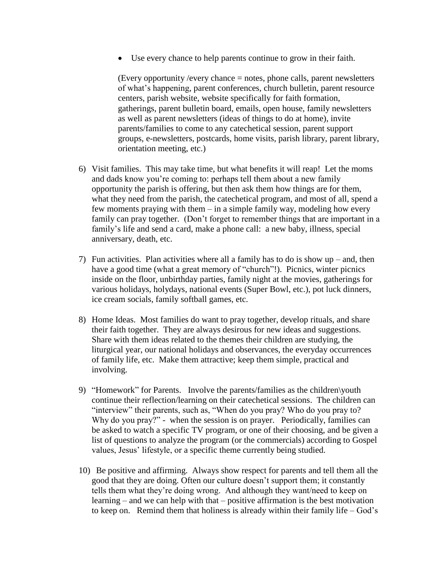Use every chance to help parents continue to grow in their faith.

(Every opportunity /every chance = notes, phone calls, parent newsletters of what's happening, parent conferences, church bulletin, parent resource centers, parish website, website specifically for faith formation, gatherings, parent bulletin board, emails, open house, family newsletters as well as parent newsletters (ideas of things to do at home), invite parents/families to come to any catechetical session, parent support groups, e-newsletters, postcards, home visits, parish library, parent library, orientation meeting, etc.)

- 6) Visit families. This may take time, but what benefits it will reap! Let the moms and dads know you're coming to: perhaps tell them about a new family opportunity the parish is offering, but then ask them how things are for them, what they need from the parish, the catechetical program, and most of all, spend a few moments praying with them – in a simple family way, modeling how every family can pray together. (Don't forget to remember things that are important in a family's life and send a card, make a phone call: a new baby, illness, special anniversary, death, etc.
- 7) Fun activities. Plan activities where all a family has to do is show up and, then have a good time (what a great memory of "church"!). Picnics, winter picnics inside on the floor, unbirthday parties, family night at the movies, gatherings for various holidays, holydays, national events (Super Bowl, etc.), pot luck dinners, ice cream socials, family softball games, etc.
- 8) Home Ideas. Most families do want to pray together, develop rituals, and share their faith together. They are always desirous for new ideas and suggestions. Share with them ideas related to the themes their children are studying, the liturgical year, our national holidays and observances, the everyday occurrences of family life, etc. Make them attractive; keep them simple, practical and involving.
- 9) "Homework" for Parents. Involve the parents/families as the children\youth continue their reflection/learning on their catechetical sessions. The children can "interview" their parents, such as, "When do you pray? Who do you pray to? Why do you pray?" - when the session is on prayer. Periodically, families can be asked to watch a specific TV program, or one of their choosing, and be given a list of questions to analyze the program (or the commercials) according to Gospel values, Jesus' lifestyle, or a specific theme currently being studied.
- 10) Be positive and affirming. Always show respect for parents and tell them all the good that they are doing. Often our culture doesn't support them; it constantly tells them what they're doing wrong. And although they want/need to keep on learning – and we can help with that – positive affirmation is the best motivation to keep on. Remind them that holiness is already within their family life – God's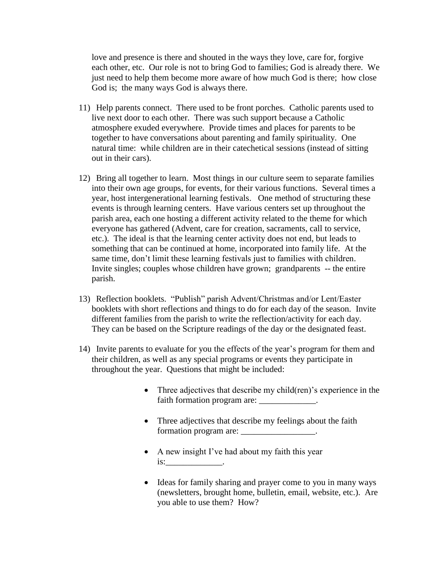love and presence is there and shouted in the ways they love, care for, forgive each other, etc. Our role is not to bring God to families; God is already there. We just need to help them become more aware of how much God is there; how close God is; the many ways God is always there.

- 11) Help parents connect. There used to be front porches. Catholic parents used to live next door to each other. There was such support because a Catholic atmosphere exuded everywhere. Provide times and places for parents to be together to have conversations about parenting and family spirituality. One natural time: while children are in their catechetical sessions (instead of sitting out in their cars).
- 12) Bring all together to learn. Most things in our culture seem to separate families into their own age groups, for events, for their various functions. Several times a year, host intergenerational learning festivals. One method of structuring these events is through learning centers. Have various centers set up throughout the parish area, each one hosting a different activity related to the theme for which everyone has gathered (Advent, care for creation, sacraments, call to service, etc.). The ideal is that the learning center activity does not end, but leads to something that can be continued at home, incorporated into family life. At the same time, don't limit these learning festivals just to families with children. Invite singles; couples whose children have grown; grandparents -- the entire parish.
- 13) Reflection booklets. "Publish" parish Advent/Christmas and/or Lent/Easter booklets with short reflections and things to do for each day of the season. Invite different families from the parish to write the reflection/activity for each day. They can be based on the Scripture readings of the day or the designated feast.
- 14) Invite parents to evaluate for you the effects of the year's program for them and their children, as well as any special programs or events they participate in throughout the year. Questions that might be included:
	- Three adjectives that describe my child(ren)'s experience in the faith formation program are: \_\_\_\_\_\_\_\_\_\_\_\_\_.
	- Three adjectives that describe my feelings about the faith formation program are: \_\_\_\_\_\_\_\_\_\_\_\_\_\_\_\_\_\_\_.
	- A new insight I've had about my faith this year is:\_\_\_\_\_\_\_\_\_\_\_\_\_.
	- Ideas for family sharing and prayer come to you in many ways (newsletters, brought home, bulletin, email, website, etc.). Are you able to use them? How?